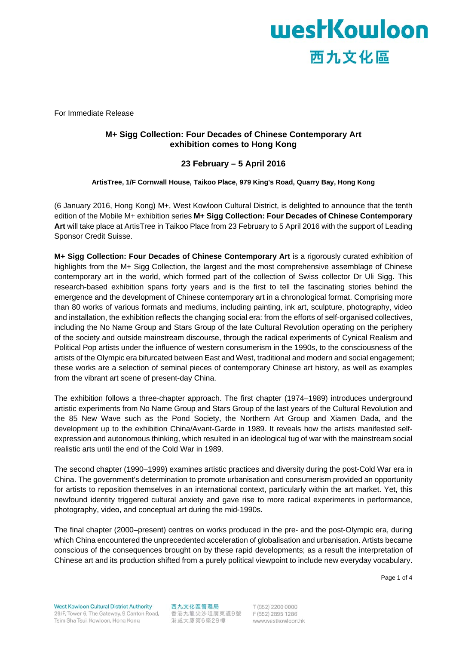

For Immediate Release

### **M+ Sigg Collection: Four Decades of Chinese Contemporary Art exhibition comes to Hong Kong**

### **23 February – 5 April 2016**

**ArtisTree, 1/F Cornwall House, Taikoo Place, 979 King's Road, Quarry Bay, Hong Kong** 

(6 January 2016, Hong Kong) M+, West Kowloon Cultural District, is delighted to announce that the tenth edition of the Mobile M+ exhibition series **M+ Sigg Collection: Four Decades of Chinese Contemporary Art** will take place at ArtisTree in Taikoo Place from 23 February to 5 April 2016 with the support of Leading Sponsor Credit Suisse.

**M+ Sigg Collection: Four Decades of Chinese Contemporary Art** is a rigorously curated exhibition of highlights from the M+ Sigg Collection, the largest and the most comprehensive assemblage of Chinese contemporary art in the world, which formed part of the collection of Swiss collector Dr Uli Sigg. This research-based exhibition spans forty years and is the first to tell the fascinating stories behind the emergence and the development of Chinese contemporary art in a chronological format. Comprising more than 80 works of various formats and mediums, including painting, ink art, sculpture, photography, video and installation, the exhibition reflects the changing social era: from the efforts of self-organised collectives, including the No Name Group and Stars Group of the late Cultural Revolution operating on the periphery of the society and outside mainstream discourse, through the radical experiments of Cynical Realism and Political Pop artists under the influence of western consumerism in the 1990s, to the consciousness of the artists of the Olympic era bifurcated between East and West, traditional and modern and social engagement; these works are a selection of seminal pieces of contemporary Chinese art history, as well as examples from the vibrant art scene of present-day China.

The exhibition follows a three-chapter approach. The first chapter (1974–1989) introduces underground artistic experiments from No Name Group and Stars Group of the last years of the Cultural Revolution and the 85 New Wave such as the Pond Society, the Northern Art Group and Xiamen Dada, and the development up to the exhibition China/Avant-Garde in 1989. It reveals how the artists manifested selfexpression and autonomous thinking, which resulted in an ideological tug of war with the mainstream social realistic arts until the end of the Cold War in 1989.

The second chapter (1990–1999) examines artistic practices and diversity during the post-Cold War era in China. The government's determination to promote urbanisation and consumerism provided an opportunity for artists to reposition themselves in an international context, particularly within the art market. Yet, this newfound identity triggered cultural anxiety and gave rise to more radical experiments in performance, photography, video, and conceptual art during the mid-1990s.

The final chapter (2000–present) centres on works produced in the pre- and the post-Olympic era, during which China encountered the unprecedented acceleration of globalisation and urbanisation. Artists became conscious of the consequences brought on by these rapid developments; as a result the interpretation of Chinese art and its production shifted from a purely political viewpoint to include new everyday vocabulary.

Page 1 of 4

西九文化區管理局 香港九龍尖沙咀廣東道9號 F(852) 2895 1286 港威大廈第6座29樓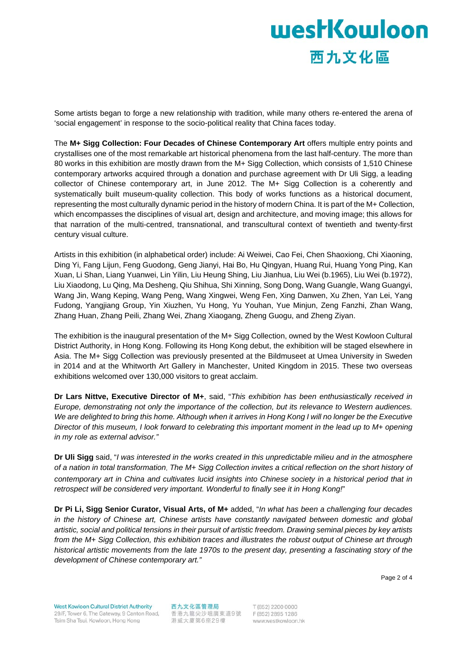# **westKowloon** 西九文化區

Some artists began to forge a new relationship with tradition, while many others re-entered the arena of 'social engagement' in response to the socio-political reality that China faces today.

The **M+ Sigg Collection: Four Decades of Chinese Contemporary Art** offers multiple entry points and crystallises one of the most remarkable art historical phenomena from the last half-century. The more than 80 works in this exhibition are mostly drawn from the M+ Sigg Collection, which consists of 1,510 Chinese contemporary artworks acquired through a donation and purchase agreement with Dr Uli Sigg, a leading collector of Chinese contemporary art, in June 2012. The M+ Sigg Collection is a coherently and systematically built museum-quality collection. This body of works functions as a historical document, representing the most culturally dynamic period in the history of modern China. It is part of the M+ Collection, which encompasses the disciplines of visual art, design and architecture, and moving image; this allows for that narration of the multi-centred, transnational, and transcultural context of twentieth and twenty-first century visual culture.

Artists in this exhibition (in alphabetical order) include: Ai Weiwei, Cao Fei, Chen Shaoxiong, Chi Xiaoning, Ding Yi, Fang Lijun, Feng Guodong, Geng Jianyi, Hai Bo, Hu Qingyan, Huang Rui, Huang Yong Ping, Kan Xuan, Li Shan, Liang Yuanwei, Lin Yilin, Liu Heung Shing, Liu Jianhua, Liu Wei (b.1965), Liu Wei (b.1972), Liu Xiaodong, Lu Qing, Ma Desheng, Qiu Shihua, Shi Xinning, Song Dong, Wang Guangle, Wang Guangyi, Wang Jin, Wang Keping, Wang Peng, Wang Xingwei, Weng Fen, Xing Danwen, Xu Zhen, Yan Lei, Yang Fudong, Yangjiang Group, Yin Xiuzhen, Yu Hong, Yu Youhan, Yue Minjun, Zeng Fanzhi, Zhan Wang, Zhang Huan, Zhang Peili, Zhang Wei, Zhang Xiaogang, Zheng Guogu, and Zheng Ziyan.

The exhibition is the inaugural presentation of the M+ Sigg Collection, owned by the West Kowloon Cultural District Authority, in Hong Kong. Following its Hong Kong debut, the exhibition will be staged elsewhere in Asia. The M+ Sigg Collection was previously presented at the Bildmuseet at Umea University in Sweden in 2014 and at the Whitworth Art Gallery in Manchester, United Kingdom in 2015. These two overseas exhibitions welcomed over 130,000 visitors to great acclaim.

**Dr Lars Nittve, Executive Director of M+**, said, "*This exhibition has been enthusiastically received in Europe, demonstrating not only the importance of the collection, but its relevance to Western audiences. We are delighted to bring this home. Although when it arrives in Hong Kong I will no longer be the Executive Director of this museum, I look forward to celebrating this important moment in the lead up to M+ opening in my role as external advisor."*

**Dr Uli Sigg** said, "*I was interested in the works created in this unpredictable milieu and in the atmosphere of a nation in total transformation*. *The M+ Sigg Collection invites a critical reflection on the short history of contemporary art in China and cultivates lucid insights into Chinese society in a historical period that in retrospect will be considered very important. Wonderful to finally see it in Hong Kong!*"

**Dr Pi Li, Sigg Senior Curator, Visual Arts, of M+** added, "*In what has been a challenging four decades in the history of Chinese art, Chinese artists have constantly navigated between domestic and global artistic, social and political tensions in their pursuit of artistic freedom. Drawing seminal pieces by key artists from the M+ Sigg Collection, this exhibition traces and illustrates the robust output of Chinese art through historical artistic movements from the late 1970s to the present day, presenting a fascinating story of the development of Chinese contemporary art."*

西九文化區管理局 香港九龍尖沙咀廣東道9號 F(852) 2895 1286 港威大廈第6座29樓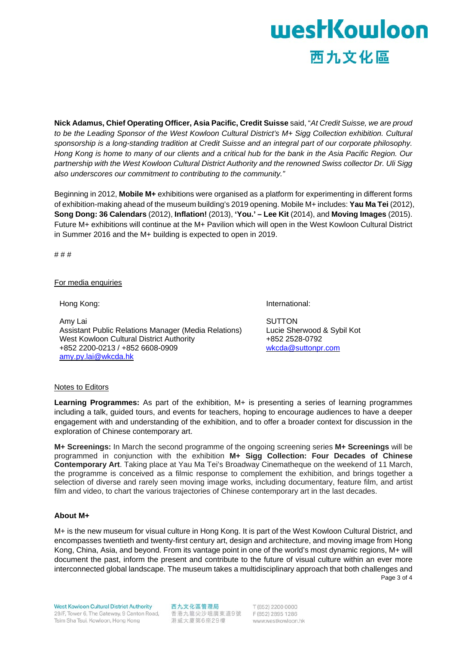# **westKowloon** 西九文化區

**Nick Adamus, Chief Operating Officer, Asia Pacific, Credit Suisse** said, "*At Credit Suisse, we are proud to be the Leading Sponsor of the West Kowloon Cultural District's M+ Sigg Collection exhibition. Cultural sponsorship is a long-standing tradition at Credit Suisse and an integral part of our corporate philosophy. Hong Kong is home to many of our clients and a critical hub for the bank in the Asia Pacific Region. Our partnership with the West Kowloon Cultural District Authority and the renowned Swiss collector Dr. Uli Sigg also underscores our commitment to contributing to the community."* 

Beginning in 2012, **Mobile M+** exhibitions were organised as a platform for experimenting in different forms of exhibition-making ahead of the museum building's 2019 opening. Mobile M+ includes: **Yau Ma Tei** (2012), **Song Dong: 36 Calendars** (2012), **Inflation!** (2013), **'You.' – Lee Kit** (2014), and **Moving Images** (2015). Future M+ exhibitions will continue at the M+ Pavilion which will open in the West Kowloon Cultural District in Summer 2016 and the M+ building is expected to open in 2019.

# # #

#### For media enquiries

Hong Kong:

Amy Lai Assistant Public Relations Manager (Media Relations) West Kowloon Cultural District Authority +852 2200-0213 / +852 6608-0909 amy.py.lai@wkcda.hk

International:

**SUTTON** Lucie Sherwood & Sybil Kot +852 2528-0792 wkcda@suttonpr.com

#### Notes to Editors

**Learning Programmes:** As part of the exhibition, M+ is presenting a series of learning programmes including a talk, guided tours, and events for teachers, hoping to encourage audiences to have a deeper engagement with and understanding of the exhibition, and to offer a broader context for discussion in the exploration of Chinese contemporary art.

**M+ Screenings:** In March the second programme of the ongoing screening series **M+ Screenings** will be programmed in conjunction with the exhibition **M+ Sigg Collection: Four Decades of Chinese Contemporary Art**. Taking place at Yau Ma Tei's Broadway Cinematheque on the weekend of 11 March, the programme is conceived as a filmic response to complement the exhibition, and brings together a selection of diverse and rarely seen moving image works, including documentary, feature film, and artist film and video, to chart the various trajectories of Chinese contemporary art in the last decades.

#### **About M+**

Page 3 of 4 M+ is the new museum for visual culture in Hong Kong. It is part of the West Kowloon Cultural District, and encompasses twentieth and twenty-first century art, design and architecture, and moving image from Hong Kong, China, Asia, and beyond. From its vantage point in one of the world's most dynamic regions, M+ will document the past, inform the present and contribute to the future of visual culture within an ever more interconnected global landscape. The museum takes a multidisciplinary approach that both challenges and

**West Kowloon Cultural District Authority** 29/F. Tower 6. The Gateway, 9 Canton Road. Tsim Sha Tsui, Kowloon, Hong Kong

西九文化區管理局 香港九龍尖沙咀廣東道9號 F(852) 2895 1286 港威大廈第6座29樓

T (852) 2200 0000 www.westkowloon.hk